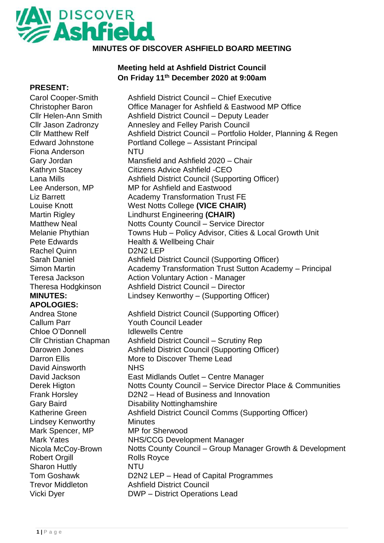## **AN DISCOVER MINUTES OF DISCOVER ASHFIELD BOARD MEETING**

## **Meeting held at Ashfield District Council On Friday 11th December 2020 at 9:00am**

**PRESENT:** Carol Cooper-Smith Ashfield District Council – Chief Executive Christopher Baron Office Manager for Ashfield & Eastwood MP Office Cllr Helen-Ann Smith Ashfield District Council – Deputy Leader Cllr Jason Zadronzy Annesley and Felley Parish Council Cllr Matthew Relf **Ashfield District Council – Portfolio Holder**, Planning & Regen Edward Johnstone Portland College – Assistant Principal Fiona Anderson NTU Gary Jordan Mansfield and Ashfield 2020 – Chair Kathryn Stacey Citizens Advice Ashfield -CEO Lana Mills **Ashfield District Council (Supporting Officer)** Lee Anderson, MP MP for Ashfield and Eastwood Liz Barrett **Academy Transformation Trust FE** Louise Knott West Notts College **(VICE CHAIR)** Martin Rigley Lindhurst Engineering **(CHAIR)** Matthew Neal **Notts County Council – Service Director** Melanie Phythian Towns Hub – Policy Advisor, Cities & Local Growth Unit Pete Edwards Health & Wellbeing Chair Rachel Quinn D2N2 LEP Sarah Daniel **Ashfield District Council (Supporting Officer)** Simon Martin **Academy Transformation Trust Sutton Academy – Principal** Teresa Jackson **Action Voluntary Action - Manager** Theresa Hodgkinson Ashfield District Council – Director **MINUTES:** Lindsey Kenworthy – (Supporting Officer) **APOLOGIES:** Andrea Stone **Ashfield District Council (Supporting Officer)** Callum Parr Youth Council Leader Chloe O'Donnell Idlewells Centre Cllr Christian Chapman Darowen Jones Ashfield District Council – Scrutiny Rep Ashfield District Council (Supporting Officer) Darron Filis More to Discover Theme Lead David Ainsworth NHS David Jackson East Midlands Outlet – Centre Manager Derek Higton **Gary Baird** Notts County Council – Service Director Place & Communities Frank Horsley D2N2 – Head of Business and Innovation Disability Nottinghamshire Katherine Green Ashfield District Council Comms (Supporting Officer) Lindsey Kenworthy Minutes Mark Spencer, MP MP for Sherwood Mark Yates NHS/CCG Development Manager Nicola McCoy-Brown Notts County Council – Group Manager Growth & Development Robert Orgill Rolls Royce Sharon Huttly **NTU** Tom Goshawk D2N2 LEP – Head of Capital Programmes Trevor Middleton Ashfield District Council Vicki Dyer **DWP** – District Operations Lead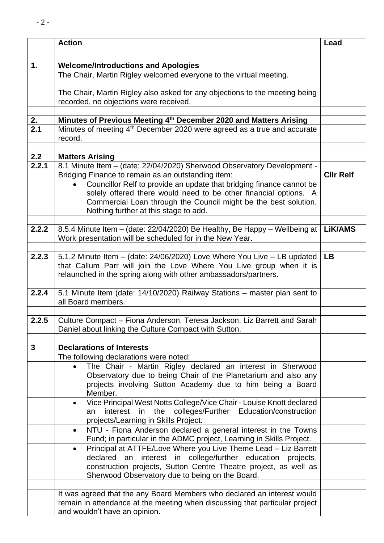|              | <b>Action</b>                                                                                                                             | Lead             |
|--------------|-------------------------------------------------------------------------------------------------------------------------------------------|------------------|
|              |                                                                                                                                           |                  |
| 1.           | <b>Welcome/Introductions and Apologies</b>                                                                                                |                  |
|              | The Chair, Martin Rigley welcomed everyone to the virtual meeting.                                                                        |                  |
|              | The Chair, Martin Rigley also asked for any objections to the meeting being                                                               |                  |
|              | recorded, no objections were received.                                                                                                    |                  |
|              |                                                                                                                                           |                  |
| 2.<br>2.1    | Minutes of Previous Meeting 4th December 2020 and Matters Arising                                                                         |                  |
|              | Minutes of meeting 4 <sup>th</sup> December 2020 were agreed as a true and accurate<br>record.                                            |                  |
|              |                                                                                                                                           |                  |
| 2.2          | <b>Matters Arising</b>                                                                                                                    |                  |
| 2.2.1        | 8.1 Minute Item - (date: 22/04/2020) Sherwood Observatory Development -                                                                   |                  |
|              | Bridging Finance to remain as an outstanding item:                                                                                        | <b>CIIr Relf</b> |
|              | Councillor Relf to provide an update that bridging finance cannot be                                                                      |                  |
|              | solely offered there would need to be other financial options. A                                                                          |                  |
|              | Commercial Loan through the Council might be the best solution.                                                                           |                  |
|              | Nothing further at this stage to add.                                                                                                     |                  |
| 2.2.2        | 8.5.4 Minute Item - (date: 22/04/2020) Be Healthy, Be Happy - Wellbeing at                                                                | LiK/AMS          |
|              | Work presentation will be scheduled for in the New Year.                                                                                  |                  |
|              |                                                                                                                                           |                  |
| 2.2.3        | 5.1.2 Minute Item - (date: 24/06/2020) Love Where You Live - LB updated                                                                   | <b>LB</b>        |
|              | that Callum Parr will join the Love Where You Live group when it is                                                                       |                  |
|              | relaunched in the spring along with other ambassadors/partners.                                                                           |                  |
| 2.2.4        | 5.1 Minute Item (date: 14/10/2020) Railway Stations - master plan sent to                                                                 |                  |
|              | all Board members.                                                                                                                        |                  |
|              |                                                                                                                                           |                  |
| 2.2.5        | Culture Compact – Fiona Anderson, Teresa Jackson, Liz Barrett and Sarah                                                                   |                  |
|              | Daniel about linking the Culture Compact with Sutton.                                                                                     |                  |
|              |                                                                                                                                           |                  |
| $\mathbf{3}$ | <b>Declarations of Interests</b>                                                                                                          |                  |
|              | The following declarations were noted:                                                                                                    |                  |
|              | The Chair - Martin Rigley declared an interest in Sherwood<br>$\bullet$<br>Observatory due to being Chair of the Planetarium and also any |                  |
|              | projects involving Sutton Academy due to him being a Board                                                                                |                  |
|              | Member.                                                                                                                                   |                  |
|              | Vice Principal West Notts College/Vice Chair - Louise Knott declared<br>$\bullet$                                                         |                  |
|              | the colleges/Further Education/construction<br>interest in<br>an                                                                          |                  |
|              | projects/Learning in Skills Project.                                                                                                      |                  |
|              | NTU - Fiona Anderson declared a general interest in the Towns<br>$\bullet$                                                                |                  |
|              | Fund; in particular in the ADMC project, Learning in Skills Project.                                                                      |                  |
|              | Principal at ATTFE/Love Where you Live Theme Lead - Liz Barrett<br>$\bullet$                                                              |                  |
|              | declared an interest in college/further education projects,<br>construction projects, Sutton Centre Theatre project, as well as           |                  |
|              | Sherwood Observatory due to being on the Board.                                                                                           |                  |
|              |                                                                                                                                           |                  |
|              | It was agreed that the any Board Members who declared an interest would                                                                   |                  |
|              | remain in attendance at the meeting when discussing that particular project                                                               |                  |
|              | and wouldn't have an opinion.                                                                                                             |                  |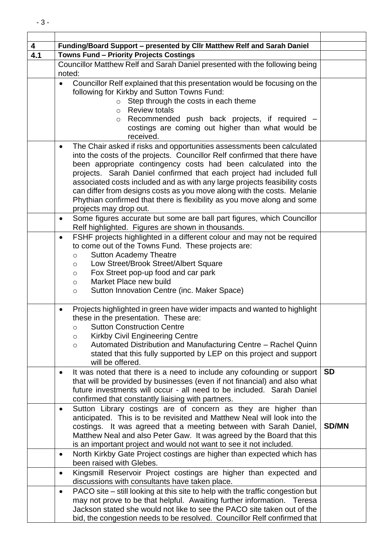| 4   | Funding/Board Support - presented by Cllr Matthew Relf and Sarah Daniel                                                                                                                                                                                                                                                                                                                                                                                                                                                                                      |              |  |  |  |  |
|-----|--------------------------------------------------------------------------------------------------------------------------------------------------------------------------------------------------------------------------------------------------------------------------------------------------------------------------------------------------------------------------------------------------------------------------------------------------------------------------------------------------------------------------------------------------------------|--------------|--|--|--|--|
| 4.1 | <b>Towns Fund - Priority Projects Costings</b>                                                                                                                                                                                                                                                                                                                                                                                                                                                                                                               |              |  |  |  |  |
|     | Councillor Matthew Relf and Sarah Daniel presented with the following being<br>noted:                                                                                                                                                                                                                                                                                                                                                                                                                                                                        |              |  |  |  |  |
|     | Councillor Relf explained that this presentation would be focusing on the<br>$\bullet$<br>following for Kirkby and Sutton Towns Fund:<br>$\circ$ Step through the costs in each theme<br>$\circ$ Review totals<br>Recommended push back projects, if required –<br>$\circ$<br>costings are coming out higher than what would be                                                                                                                                                                                                                              |              |  |  |  |  |
|     | received.                                                                                                                                                                                                                                                                                                                                                                                                                                                                                                                                                    |              |  |  |  |  |
|     | The Chair asked if risks and opportunities assessments been calculated<br>into the costs of the projects. Councillor Relf confirmed that there have<br>been appropriate contingency costs had been calculated into the<br>projects. Sarah Daniel confirmed that each project had included full<br>associated costs included and as with any large projects feasibility costs<br>can differ from designs costs as you move along with the costs. Melanie<br>Phythian confirmed that there is flexibility as you move along and some<br>projects may drop out. |              |  |  |  |  |
|     | Some figures accurate but some are ball part figures, which Councillor<br>$\bullet$<br>Relf highlighted. Figures are shown in thousands.                                                                                                                                                                                                                                                                                                                                                                                                                     |              |  |  |  |  |
|     | FSHF projects highlighted in a different colour and may not be required<br>$\bullet$<br>to come out of the Towns Fund. These projects are:<br><b>Sutton Academy Theatre</b><br>$\circ$<br>Low Street/Brook Street/Albert Square<br>$\circ$<br>Fox Street pop-up food and car park<br>$\circ$<br>Market Place new build<br>$\circ$<br>Sutton Innovation Centre (inc. Maker Space)<br>$\circ$                                                                                                                                                                  |              |  |  |  |  |
|     | Projects highlighted in green have wider impacts and wanted to highlight<br>these in the presentation. These are:<br><b>Sutton Construction Centre</b><br>$\circ$<br><b>Kirkby Civil Engineering Centre</b><br>O<br>Automated Distribution and Manufacturing Centre - Rachel Quinn<br>$\circ$<br>stated that this fully supported by LEP on this project and support<br>will be offered.                                                                                                                                                                     |              |  |  |  |  |
|     | It was noted that there is a need to include any cofounding or support<br>that will be provided by businesses (even if not financial) and also what<br>future investments will occur - all need to be included. Sarah Daniel<br>confirmed that constantly liaising with partners.                                                                                                                                                                                                                                                                            | <b>SD</b>    |  |  |  |  |
|     | Sutton Library costings are of concern as they are higher than<br>$\bullet$<br>anticipated. This is to be revisited and Matthew Neal will look into the<br>costings. It was agreed that a meeting between with Sarah Daniel,<br>Matthew Neal and also Peter Gaw. It was agreed by the Board that this<br>is an important project and would not want to see it not included.                                                                                                                                                                                  | <b>SD/MN</b> |  |  |  |  |
|     | North Kirkby Gate Project costings are higher than expected which has<br>$\bullet$<br>been raised with Glebes.                                                                                                                                                                                                                                                                                                                                                                                                                                               |              |  |  |  |  |
|     | Kingsmill Reservoir Project costings are higher than expected and<br>$\bullet$<br>discussions with consultants have taken place.                                                                                                                                                                                                                                                                                                                                                                                                                             |              |  |  |  |  |
|     | PACO site – still looking at this site to help with the traffic congestion but<br>may not prove to be that helpful. Awaiting further information. Teresa<br>Jackson stated she would not like to see the PACO site taken out of the<br>bid, the congestion needs to be resolved. Councillor Relf confirmed that                                                                                                                                                                                                                                              |              |  |  |  |  |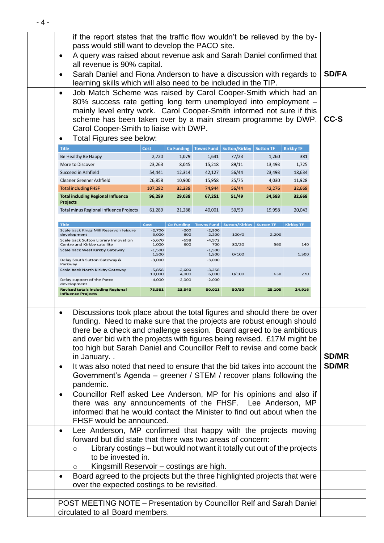|                                                                                                                                                                                                                                                                                                                                    | if the report states that the traffic flow wouldn't be relieved by the by-<br>pass would still want to develop the PACO site.                                                                                                                                                                                                                                                 |                   |                   |                                        |                  |                  |              |
|------------------------------------------------------------------------------------------------------------------------------------------------------------------------------------------------------------------------------------------------------------------------------------------------------------------------------------|-------------------------------------------------------------------------------------------------------------------------------------------------------------------------------------------------------------------------------------------------------------------------------------------------------------------------------------------------------------------------------|-------------------|-------------------|----------------------------------------|------------------|------------------|--------------|
| $\bullet$                                                                                                                                                                                                                                                                                                                          | A query was raised about revenue ask and Sarah Daniel confirmed that<br>all revenue is 90% capital.                                                                                                                                                                                                                                                                           |                   |                   |                                        |                  |                  |              |
| $\bullet$                                                                                                                                                                                                                                                                                                                          | Sarah Daniel and Fiona Anderson to have a discussion with regards to<br>learning skills which will also need to be included in the TIP.                                                                                                                                                                                                                                       |                   |                   |                                        |                  | <b>SD/FA</b>     |              |
| Job Match Scheme was raised by Carol Cooper-Smith which had an<br>$\bullet$<br>80% success rate getting long term unemployed into employment -<br>mainly level entry work. Carol Cooper-Smith informed not sure if this<br>scheme has been taken over by a main stream programme by DWP.<br>Carol Cooper-Smith to liaise with DWP. |                                                                                                                                                                                                                                                                                                                                                                               |                   |                   |                                        |                  |                  | CC-S         |
|                                                                                                                                                                                                                                                                                                                                    | Total Figures see below:                                                                                                                                                                                                                                                                                                                                                      |                   |                   |                                        |                  |                  |              |
| <b>Title</b>                                                                                                                                                                                                                                                                                                                       | Cost                                                                                                                                                                                                                                                                                                                                                                          | <b>Co Funding</b> |                   | Towns Fund   Sutton/Kirkby   Sutton TF |                  | <b>Kirkby TF</b> |              |
| Be Healthy Be Happy                                                                                                                                                                                                                                                                                                                | 2,720                                                                                                                                                                                                                                                                                                                                                                         | 1,079             | 1,641             | 77/23                                  | 1,260            | 381              |              |
| More to Discover                                                                                                                                                                                                                                                                                                                   | 23,263                                                                                                                                                                                                                                                                                                                                                                        | 8,045             | 15,218            | 89/11                                  | 13,493           | 1,725            |              |
| <b>Succeed in Ashfield</b>                                                                                                                                                                                                                                                                                                         | 54,441                                                                                                                                                                                                                                                                                                                                                                        | 12,314            | 42,127            | 56/44                                  | 23,493           | 18,634           |              |
| Cleaner Greener Ashfield                                                                                                                                                                                                                                                                                                           | 26,858                                                                                                                                                                                                                                                                                                                                                                        | 10,900            | 15,958            | 25/75                                  | 4,030            | 11,928           |              |
| <b>Total including FHSF</b>                                                                                                                                                                                                                                                                                                        | 107,282                                                                                                                                                                                                                                                                                                                                                                       | 32,338            | 74,944            | 56/44                                  | 42,276           | 32,668           |              |
| <b>Total including Regional Influence</b><br><b>Projects</b>                                                                                                                                                                                                                                                                       | 96,289                                                                                                                                                                                                                                                                                                                                                                        | 29,038            | 67,251            | 51/49                                  | 34,583           | 32,668           |              |
| <b>Total minus Regional Influence Projects</b>                                                                                                                                                                                                                                                                                     | 61,289                                                                                                                                                                                                                                                                                                                                                                        | 21,288            | 40,001            | 50/50                                  | 19,958           | 20,043           |              |
| <b>Title</b>                                                                                                                                                                                                                                                                                                                       | Cost                                                                                                                                                                                                                                                                                                                                                                          | <b>Co Funding</b> |                   | Towns Fund   Sutton/Kirkby             | <b>Sutton TF</b> | <b>Kirkby TF</b> |              |
| Scale back Kings Mill Reservoir leisure<br>development                                                                                                                                                                                                                                                                             | $-2,700$<br>3,000                                                                                                                                                                                                                                                                                                                                                             | $-200$<br>800     | $-2,500$<br>2,200 | 100/0                                  | 2,200            |                  |              |
| Scale back Sutton Library Innovation                                                                                                                                                                                                                                                                                               | $-5,670$                                                                                                                                                                                                                                                                                                                                                                      | $-698$            | $-4,972$          |                                        |                  |                  |              |
| Centre and Kirkby satellite<br>Scale back West Kirkby Gateway                                                                                                                                                                                                                                                                      | 1,000<br>$-1,500$                                                                                                                                                                                                                                                                                                                                                             | 300               | 700<br>$-1,500$   | 80/20                                  | 560              | 140              |              |
|                                                                                                                                                                                                                                                                                                                                    | 1,500                                                                                                                                                                                                                                                                                                                                                                         |                   | 1,500             | 0/100                                  |                  | 1,500            |              |
| Delay South Sutton Gateway &<br>Parkway                                                                                                                                                                                                                                                                                            | $-3,000$                                                                                                                                                                                                                                                                                                                                                                      |                   | $-3,000$          |                                        |                  |                  |              |
| Scale back North Kirkby Gateway                                                                                                                                                                                                                                                                                                    | $-5,858$<br>10,000                                                                                                                                                                                                                                                                                                                                                            | $-2,600$<br>4,000 | $-3,258$<br>6,000 | 0/100                                  | 630              | 270              |              |
| Delay support of the Patco<br>development                                                                                                                                                                                                                                                                                          | $-4,000$                                                                                                                                                                                                                                                                                                                                                                      | $-2,000$          | $-2,000$          |                                        |                  |                  |              |
| <b>Revised totals including Regional</b><br><b>Influence Projects</b>                                                                                                                                                                                                                                                              | 73,561                                                                                                                                                                                                                                                                                                                                                                        | 23,540            | 50,021            | 50/50                                  | 25,105           | 24,916           |              |
| in January                                                                                                                                                                                                                                                                                                                         | Discussions took place about the total figures and should there be over<br>funding. Need to make sure that the projects are robust enough should<br>there be a check and challenge session. Board agreed to be ambitious<br>and over bid with the projects with figures being revised. £17M might be<br>too high but Sarah Daniel and Councillor Relf to revise and come back |                   |                   |                                        |                  |                  | <b>SD/MR</b> |
| $\bullet$<br>pandemic.                                                                                                                                                                                                                                                                                                             | It was also noted that need to ensure that the bid takes into account the<br>Government's Agenda – greener / STEM / recover plans following the                                                                                                                                                                                                                               |                   |                   |                                        |                  |                  | <b>SD/MR</b> |
| ٠                                                                                                                                                                                                                                                                                                                                  | Councillor Relf asked Lee Anderson, MP for his opinions and also if<br>there was any announcements of the FHSF. Lee Anderson, MP<br>informed that he would contact the Minister to find out about when the<br>FHSF would be announced.                                                                                                                                        |                   |                   |                                        |                  |                  |              |
| $\bullet$<br>$\bigcirc$<br>O                                                                                                                                                                                                                                                                                                       | Lee Anderson, MP confirmed that happy with the projects moving<br>forward but did state that there was two areas of concern:<br>Library costings – but would not want it totally cut out of the projects<br>to be invested in.<br>Kingsmill Reservoir - costings are high.                                                                                                    |                   |                   |                                        |                  |                  |              |
|                                                                                                                                                                                                                                                                                                                                    | Board agreed to the projects but the three highlighted projects that were<br>over the expected costings to be revisited.                                                                                                                                                                                                                                                      |                   |                   |                                        |                  |                  |              |
|                                                                                                                                                                                                                                                                                                                                    | POST MEETING NOTE - Presentation by Councillor Relf and Sarah Daniel<br>circulated to all Board members.                                                                                                                                                                                                                                                                      |                   |                   |                                        |                  |                  |              |